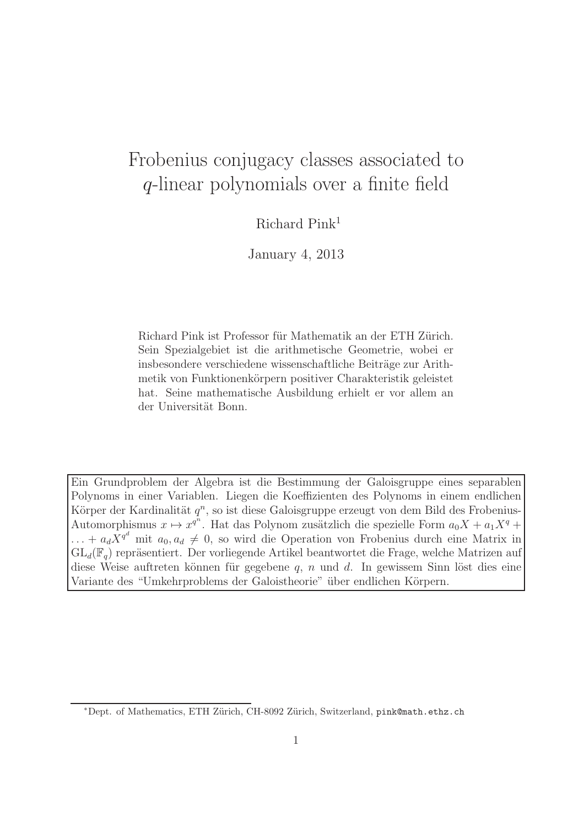## Frobenius conjugacy classes associated to q-linear polynomials over a finite field

Richard Pink<sup>1</sup>

January 4, 2013

Richard Pink ist Professor für Mathematik an der ETH Zürich. Sein Spezialgebiet ist die arithmetische Geometrie, wobei er insbesondere verschiedene wissenschaftliche Beiträge zur Arithmetik von Funktionenkörpern positiver Charakteristik geleistet hat. Seine mathematische Ausbildung erhielt er vor allem an der Universität Bonn.

Ein Grundproblem der Algebra ist die Bestimmung der Galoisgruppe eines separablen Polynoms in einer Variablen. Liegen die Koeffizienten des Polynoms in einem endlichen Körper der Kardinalität  $q^n$ , so ist diese Galoisgruppe erzeugt von dem Bild des Frobenius-Automorphismus  $x \mapsto x^{q^n}$ . Hat das Polynom zusätzlich die spezielle Form  $a_0X + a_1X^q +$  $\ldots + a_d X^{q^d}$  mit  $a_0, a_d \neq 0$ , so wird die Operation von Frobenius durch eine Matrix in  $GL_d(\mathbb{F}_q)$  repräsentiert. Der vorliegende Artikel beantwortet die Frage, welche Matrizen auf diese Weise auftreten können für gegebene  $q$ , n und d. In gewissem Sinn löst dies eine Variante des "Umkehrproblems der Galoistheorie" über endlichen Körpern.

<sup>∗</sup>Dept. of Mathematics, ETH Z¨urich, CH-8092 Z¨urich, Switzerland, pink@math.ethz.ch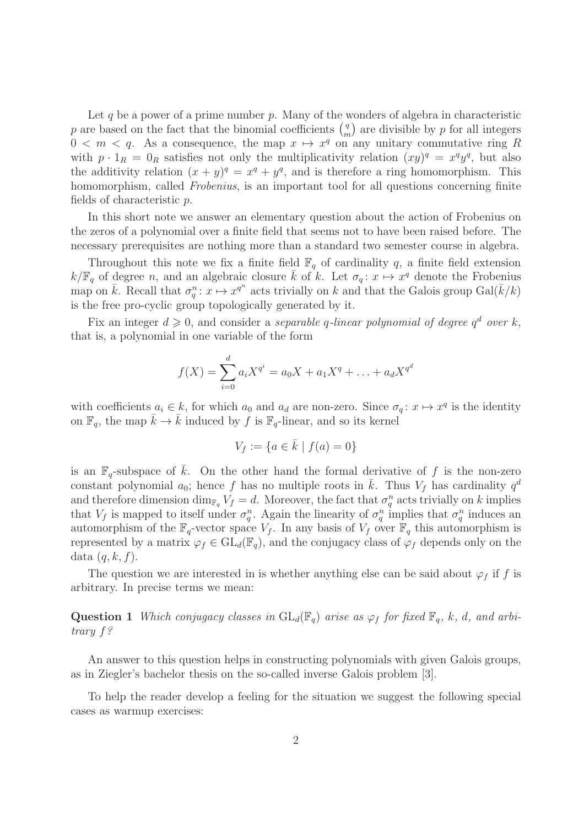Let q be a power of a prime number  $p$ . Many of the wonders of algebra in characteristic p are based on the fact that the binomial coefficients  $\binom{q}{r}$  $\binom{q}{m}$  are divisible by p for all integers  $0 < m < q$ . As a consequence, the map  $x \mapsto x^q$  on any unitary commutative ring R with  $p \cdot 1_R = 0_R$  satisfies not only the multiplicativity relation  $(xy)^q = x^q y^q$ , but also the additivity relation  $(x + y)^q = x^q + y^q$ , and is therefore a ring homomorphism. This homomorphism, called *Frobenius*, is an important tool for all questions concerning finite fields of characteristic p.

In this short note we answer an elementary question about the action of Frobenius on the zeros of a polynomial over a finite field that seems not to have been raised before. The necessary prerequisites are nothing more than a standard two semester course in algebra.

Throughout this note we fix a finite field  $\mathbb{F}_q$  of cardinality q, a finite field extension  $k/\mathbb{F}_q$  of degree n, and an algebraic closure  $\bar{k}$  of k. Let  $\sigma_q: x \mapsto x^q$  denote the Frobenius map on  $\bar{k}$ . Recall that  $\sigma_q^n : x \mapsto x^{q^n}$  acts trivially on k and that the Galois group  $Gal(\bar{k}/k)$ is the free pro-cyclic group topologically generated by it.

Fix an integer  $d \geqslant 0$ , and consider a separable q-linear polynomial of degree  $q^d$  over k, that is, a polynomial in one variable of the form

$$
f(X) = \sum_{i=0}^{d} a_i X^{q^i} = a_0 X + a_1 X^q + \dots + a_d X^{q^d}
$$

with coefficients  $a_i \in k$ , for which  $a_0$  and  $a_d$  are non-zero. Since  $\sigma_q: x \mapsto x^q$  is the identity on  $\mathbb{F}_q$ , the map  $\bar{k} \to \bar{k}$  induced by f is  $\mathbb{F}_q$ -linear, and so its kernel

$$
V_f := \{ a \in \bar{k} \mid f(a) = 0 \}
$$

is an  $\mathbb{F}_q$ -subspace of k. On the other hand the formal derivative of f is the non-zero constant polynomial  $a_0$ ; hence f has no multiple roots in  $\overline{k}$ . Thus  $V_f$  has cardinality  $q^d$ and therefore dimension  $\dim_{\mathbb{F}_q} V_f = d$ . Moreover, the fact that  $\sigma_q^n$  acts trivially on k implies that  $V_f$  is mapped to itself under  $\sigma_q^n$ . Again the linearity of  $\sigma_q^n$  implies that  $\sigma_q^n$  induces an automorphism of the  $\mathbb{F}_q$ -vector space  $V_f$ . In any basis of  $V_f$  over  $\mathbb{F}_q$  this automorphism is represented by a matrix  $\varphi_f \in GL_d(\mathbb{F}_q)$ , and the conjugacy class of  $\varphi_f$  depends only on the data  $(q, k, f)$ .

The question we are interested in is whether anything else can be said about  $\varphi_f$  if f is arbitrary. In precise terms we mean:

**Question 1** Which conjugacy classes in  $GL_d(\mathbb{F}_q)$  arise as  $\varphi_f$  for fixed  $\mathbb{F}_q$ , k, d, and arbitrary f?

An answer to this question helps in constructing polynomials with given Galois groups, as in Ziegler's bachelor thesis on the so-called inverse Galois problem [3].

To help the reader develop a feeling for the situation we suggest the following special cases as warmup exercises: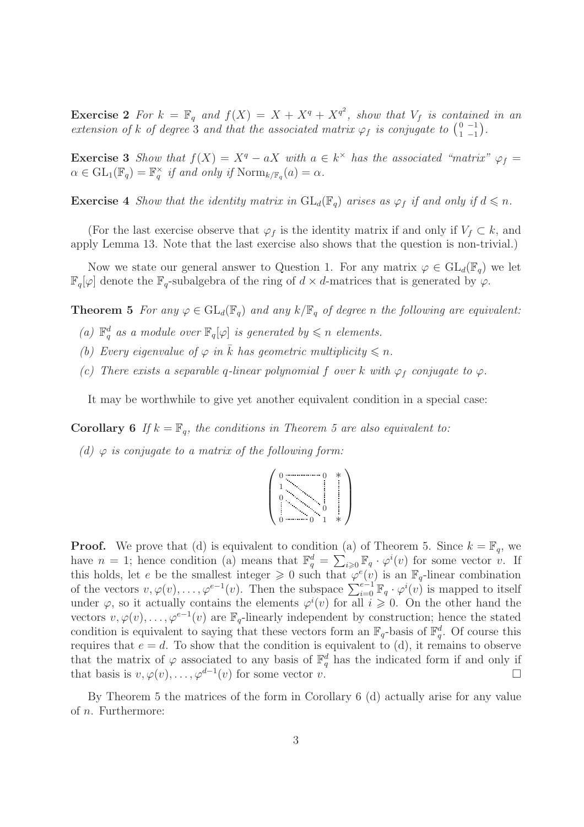**Exercise 2** For  $k = \mathbb{F}_q$  and  $f(X) = X + X^q + X^{q^2}$ , show that  $V_f$  is contained in an extension of k of degree 3 and that the associated matrix  $\varphi_f$  is conjugate to  $\begin{pmatrix} 0 & -1 \\ 1 & -1 \end{pmatrix}$  $\begin{pmatrix} 0 & -1 \\ 1 & -1 \end{pmatrix}$ .

**Exercise 3** Show that  $f(X) = X^q - aX$  with  $a \in k^{\times}$  has the associated "matrix"  $\varphi_f =$  $\alpha \in \mathrm{GL}_1(\mathbb{F}_q) = \mathbb{F}_q^{\times}$  $\frac{\times}{q}$  if and only if  $\text{Norm}_{k/\mathbb{F}_q}(a) = \alpha$ .

**Exercise 4** Show that the identity matrix in  $GL_d(\mathbb{F}_q)$  arises as  $\varphi_f$  if and only if  $d \leq n$ .

(For the last exercise observe that  $\varphi_f$  is the identity matrix if and only if  $V_f \subset k$ , and apply Lemma 13. Note that the last exercise also shows that the question is non-trivial.)

Now we state our general answer to Question 1. For any matrix  $\varphi \in GL_d(\mathbb{F}_q)$  we let  $\mathbb{F}_q[\varphi]$  denote the  $\mathbb{F}_q$ -subalgebra of the ring of  $d \times d$ -matrices that is generated by  $\varphi$ .

**Theorem 5** For any  $\varphi \in GL_d(\mathbb{F}_q)$  and any  $k/\mathbb{F}_q$  of degree n the following are equivalent:

- (a)  $\mathbb{F}_q^d$  as a module over  $\mathbb{F}_q[\varphi]$  is generated by  $\leqslant n$  elements.
- (b) Every eigenvalue of  $\varphi$  in  $\overline{k}$  has geometric multiplicity  $\leq n$ .
- (c) There exists a separable q-linear polynomial f over k with  $\varphi_f$  conjugate to  $\varphi$ .

It may be worthwhile to give yet another equivalent condition in a special case:

**Corollary 6** If  $k = \mathbb{F}_q$ , the conditions in Theorem 5 are also equivalent to:

(d)  $\varphi$  is conjugate to a matrix of the following form:



**Proof.** We prove that (d) is equivalent to condition (a) of Theorem 5. Since  $k = \mathbb{F}_q$ , we have  $n = 1$ ; hence condition (a) means that  $\mathbb{F}_q^d = \sum_{i \geq 0} \mathbb{F}_q \cdot \varphi^i(v)$  for some vector v. If this holds, let e be the smallest integer  $\geq 0$  such that  $\varphi^e(v)$  is an  $\mathbb{F}_q$ -linear combination of the vectors  $v, \varphi(v), \ldots, \varphi^{e-1}(v)$ . Then the subspace  $\sum_{i=0}^{e-1} \mathbb{F}_q \cdot \varphi^i(v)$  is mapped to itself under  $\varphi$ , so it actually contains the elements  $\varphi^i(v)$  for all  $i \geqslant 0$ . On the other hand the vectors  $v, \varphi(v), \ldots, \varphi^{e-1}(v)$  are  $\mathbb{F}_q$ -linearly independent by construction; hence the stated condition is equivalent to saying that these vectors form an  $\mathbb{F}_q$ -basis of  $\mathbb{F}_q^d$ . Of course this requires that  $e = d$ . To show that the condition is equivalent to (d), it remains to observe that the matrix of  $\varphi$  associated to any basis of  $\mathbb{F}_q^d$  has the indicated form if and only if that basis is  $v, \varphi(v), \ldots, \varphi^{d-1}(v)$  for some vector  $v$ .

By Theorem 5 the matrices of the form in Corollary 6 (d) actually arise for any value of  $n$ . Furthermore: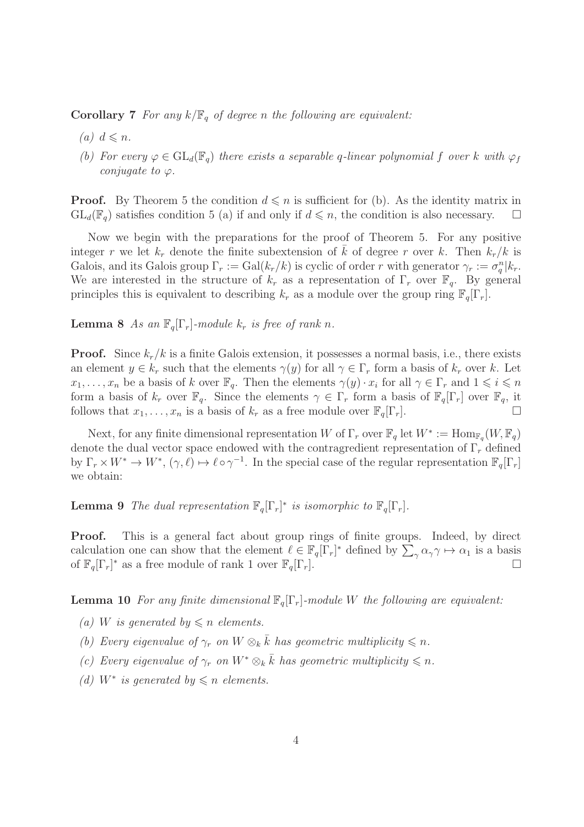**Corollary 7** For any  $k/\mathbb{F}_q$  of degree n the following are equivalent:

- (a)  $d \leq n$ .
- (b) For every  $\varphi \in GL_d(\mathbb{F}_q)$  there exists a separable q-linear polynomial f over k with  $\varphi_f$ conjugate to  $\varphi$ .

**Proof.** By Theorem 5 the condition  $d \leq n$  is sufficient for (b). As the identity matrix in  $GL_d(\mathbb{F}_q)$  satisfies condition 5 (a) if and only if  $d \leq n$ , the condition is also necessary.  $\square$ 

Now we begin with the preparations for the proof of Theorem 5. For any positive integer r we let  $k_r$  denote the finite subextension of  $\overline{k}$  of degree r over k. Then  $k_r/k$  is Galois, and its Galois group  $\Gamma_r := \text{Gal}(k_r/k)$  is cyclic of order r with generator  $\gamma_r := \sigma_q^n | k_r$ . We are interested in the structure of  $k_r$  as a representation of  $\Gamma_r$  over  $\mathbb{F}_q$ . By general principles this is equivalent to describing  $k_r$  as a module over the group ring  $\mathbb{F}_q[\Gamma_r]$ .

**Lemma 8** As an  $\mathbb{F}_q[\Gamma_r]$ -module  $k_r$  is free of rank n.

**Proof.** Since  $k_r/k$  is a finite Galois extension, it possesses a normal basis, i.e., there exists an element  $y \in k_r$  such that the elements  $\gamma(y)$  for all  $\gamma \in \Gamma_r$  form a basis of  $k_r$  over k. Let  $x_1, \ldots, x_n$  be a basis of k over  $\mathbb{F}_q$ . Then the elements  $\gamma(y) \cdot x_i$  for all  $\gamma \in \Gamma_r$  and  $1 \leq i \leq n$ form a basis of  $k_r$  over  $\mathbb{F}_q$ . Since the elements  $\gamma \in \Gamma_r$  form a basis of  $\mathbb{F}_q[\Gamma_r]$  over  $\mathbb{F}_q$ , it follows that  $x_1, \ldots, x_n$  is a basis of  $k_r$  as a free module over  $\mathbb{F}_q[\Gamma_r]$ .

Next, for any finite dimensional representation W of  $\Gamma_r$  over  $\mathbb{F}_q$  let  $W^* := \text{Hom}_{\mathbb{F}_q}(W, \mathbb{F}_q)$ denote the dual vector space endowed with the contragredient representation of  $\Gamma_r$  defined by  $\Gamma_r \times W^* \to W^*$ ,  $(\gamma, \ell) \mapsto \ell \circ \gamma^{-1}$ . In the special case of the regular representation  $\mathbb{F}_q[\Gamma_r]$ we obtain:

**Lemma 9** The dual representation  $\mathbb{F}_q[\Gamma_r]^*$  is isomorphic to  $\mathbb{F}_q[\Gamma_r]$ .

Proof. This is a general fact about group rings of finite groups. Indeed, by direct calculation one can show that the element  $\ell \in \mathbb{F}_q[\Gamma_r]^*$  defined by  $\sum_{\gamma} \alpha_{\gamma} \gamma \mapsto \alpha_1$  is a basis of  $\mathbb{F}_q[\Gamma_r]^*$  as a free module of rank 1 over  $\mathbb{F}_q[\Gamma_r]$ .

**Lemma 10** For any finite dimensional  $\mathbb{F}_q[\Gamma_r]$ -module W the following are equivalent:

- (a) W is generated by  $\leq n$  elements.
- (b) Every eigenvalue of  $\gamma_r$  on  $W \otimes_k \overline{k}$  has geometric multiplicity  $\leq n$ .
- (c) Every eigenvalue of  $\gamma_r$  on  $W^* \otimes_k \bar{k}$  has geometric multiplicity  $\leq n$ .
- (d)  $W^*$  is generated by  $\leq n$  elements.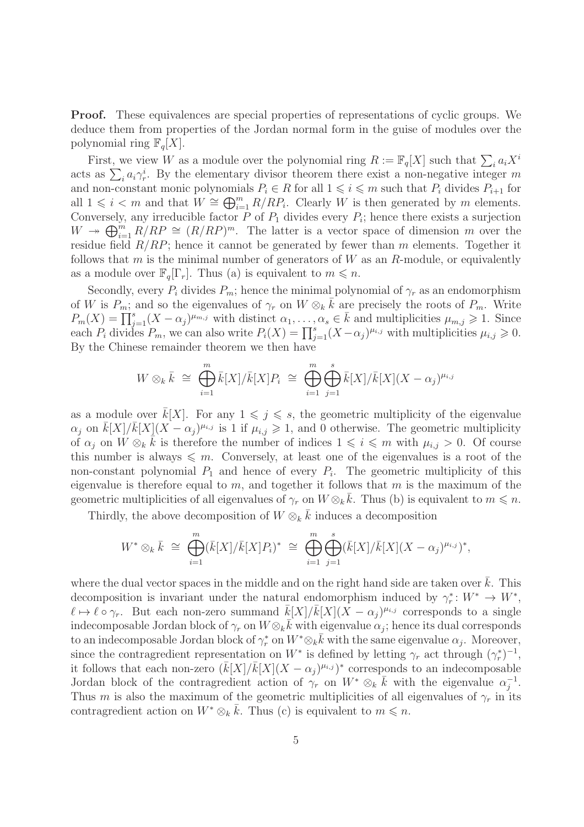Proof. These equivalences are special properties of representations of cyclic groups. We deduce them from properties of the Jordan normal form in the guise of modules over the polynomial ring  $\mathbb{F}_q[X]$ .

First, we view W as a module over the polynomial ring  $R := \mathbb{F}_q[X]$  such that  $\sum_i a_i X^i$ acts as  $\sum_i a_i \gamma_r^i$ . By the elementary divisor theorem there exist a non-negative integer m and non-constant monic polynomials  $P_i \in R$  for all  $1 \leq i \leq m$  such that  $P_i$  divides  $P_{i+1}$  for all  $1 \leq i \leq m$  and that  $W \cong \bigoplus_{i=1}^{m} R/RP_i$ . Clearly W is then generated by m elements. Conversely, any irreducible factor  $P$  of  $P_1$  divides every  $P_i$ ; hence there exists a surjection  $W \to \bigoplus_{i=1}^m R/RP \cong (R/RP)^m$ . The latter is a vector space of dimension m over the residue field  $R/RP$ ; hence it cannot be generated by fewer than m elements. Together it follows that m is the minimal number of generators of  $W$  as an  $R$ -module, or equivalently as a module over  $\mathbb{F}_q[\Gamma_r]$ . Thus (a) is equivalent to  $m \leq n$ .

Secondly, every  $P_i$  divides  $P_m$ ; hence the minimal polynomial of  $\gamma_r$  as an endomorphism of W is  $P_m$ ; and so the eigenvalues of  $\gamma_r$  on  $W \otimes_k \overline{k}$  are precisely the roots of  $P_m$ . Write  $P_m(X) = \prod_{j=1}^s (X - \alpha_j)^{\mu_{m,j}}$  with distinct  $\alpha_1, \ldots, \alpha_s \in \overline{k}$  and multiplicities  $\mu_{m,j} \geq 1$ . Since each  $P_i$  divides  $P_m$ , we can also write  $P_i(X) = \prod_{j=1}^s (X - \alpha_j)^{\mu_{i,j}}$  with multiplicities  $\mu_{i,j} \geqslant 0$ . By the Chinese remainder theorem we then have

$$
W \otimes_k \bar{k} \cong \bigoplus_{i=1}^m \bar{k}[X]/\bar{k}[X]P_i \cong \bigoplus_{i=1}^m \bigoplus_{j=1}^s \bar{k}[X]/\bar{k}[X](X-\alpha_j)^{\mu_{i,j}}
$$

as a module over  $k[X]$ . For any  $1 \leq j \leq s$ , the geometric multiplicity of the eigenvalue  $\alpha_j$  on  $\bar{k}[X]/\bar{k}[X](X-\alpha_j)^{\mu_{i,j}}$  is 1 if  $\mu_{i,j}\geqslant 1$ , and 0 otherwise. The geometric multiplicity of  $\alpha_j$  on  $\overline{W} \otimes_k \overline{k}$  is therefore the number of indices  $1 \leqslant i \leqslant m$  with  $\mu_{i,j} > 0$ . Of course this number is always  $\leq m$ . Conversely, at least one of the eigenvalues is a root of the non-constant polynomial  $P_1$  and hence of every  $P_i$ . The geometric multiplicity of this eigenvalue is therefore equal to  $m$ , and together it follows that  $m$  is the maximum of the geometric multiplicities of all eigenvalues of  $\gamma_r$  on  $W \otimes_k \bar{k}$ . Thus (b) is equivalent to  $m \leq n$ .

Thirdly, the above decomposition of  $W \otimes_k \bar{k}$  induces a decomposition

$$
W^* \otimes_k \bar{k} \cong \bigoplus_{i=1}^m (\bar{k}[X]/\bar{k}[X]P_i)^* \cong \bigoplus_{i=1}^m \bigoplus_{j=1}^s (\bar{k}[X]/\bar{k}[X](X-\alpha_j)^{\mu_{i,j}})^*,
$$

where the dual vector spaces in the middle and on the right hand side are taken over  $\bar{k}$ . This decomposition is invariant under the natural endomorphism induced by  $\gamma_r^*$ \*:  $W^*$  →  $W^*$ ,  $\ell \mapsto \ell \circ \gamma_r$ . But each non-zero summand  $\bar{k}[X]/\bar{k}[X](\bar{X}-\alpha_j)^{\mu_{i,j}}$  corresponds to a single indecomposable Jordan block of  $\gamma_r$  on  $W \otimes_k \bar{k}$  with eigenvalue  $\alpha_j$ ; hence its dual corresponds to an indecomposable Jordan block of  $\gamma_r^*$ <sup>\*</sup>, on  $W^* \otimes_k \overline{k}$  with the same eigenvalue  $\alpha_j$ . Moreover, since the contragredient representation on  $W^*$  is defined by letting  $\gamma_r$  act through  $(\gamma_r^*)$ \* $)$ <sup>-1</sup>, it follows that each non-zero  $(\bar{k}[X]/\bar{k}[X](X-\alpha_j)^{\mu_{i,j}})^*$  corresponds to an indecomposable Jordan block of the contragredient action of  $\gamma_r$  on  $W^* \otimes_k \bar{k}$  with the eigenvalue  $\alpha_i^{-1}$  $\frac{-1}{j}$ . Thus m is also the maximum of the geometric multiplicities of all eigenvalues of  $\gamma_r$  in its contragredient action on  $W^* \otimes_k \bar{k}$ . Thus (c) is equivalent to  $m \leq n$ .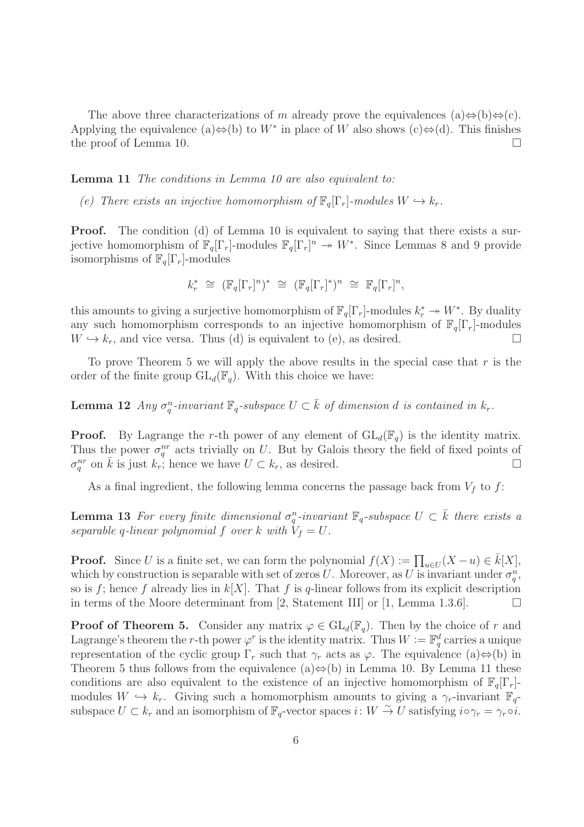The above three characterizations of m already prove the equivalences (a) $\Leftrightarrow$ (b) $\Leftrightarrow$ (c). Applying the equivalence (a) $\Leftrightarrow$ (b) to  $W^*$  in place of W also shows (c) $\Leftrightarrow$ (d). This finishes the proof of Lemma 10.  $\Box$ 

## Lemma 11 The conditions in Lemma 10 are also equivalent to:

(e) There exists an injective homomorphism of  $\mathbb{F}_q[\Gamma_r]$ -modules  $W \hookrightarrow k_r$ .

**Proof.** The condition (d) of Lemma 10 is equivalent to saying that there exists a surjective homomorphism of  $\mathbb{F}_q[\Gamma_r]$ -modules  $\mathbb{F}_q[\Gamma_r]^n \to W^*$ . Since Lemmas 8 and 9 provide isomorphisms of  $\mathbb{F}_q[\Gamma_r]$ -modules

$$
k_r^* \cong (\mathbb{F}_q[\Gamma_r]^n)^* \cong (\mathbb{F}_q[\Gamma_r]^*)^n \cong \mathbb{F}_q[\Gamma_r]^n,
$$

this amounts to giving a surjective homomorphism of  $\mathbb{F}_q[\Gamma_r]$ -modules  $k_r^* \to W^*$ . By duality any such homomorphism corresponds to an injective homomorphism of  $\mathbb{F}_q[\Gamma_r]$ -modules  $W \hookrightarrow k_r$ , and vice versa. Thus (d) is equivalent to (e), as desired.

To prove Theorem 5 we will apply the above results in the special case that  $r$  is the order of the finite group  $GL_d(\mathbb{F}_q)$ . With this choice we have:

**Lemma 12** Any  $\sigma_q^n$ -invariant  $\mathbb{F}_q$ -subspace  $U \subset \overline{k}$  of dimension d is contained in  $k_r$ .

**Proof.** By Lagrange the r-th power of any element of  $GL_d(\mathbb{F}_q)$  is the identity matrix. Thus the power  $\sigma_q^{nr}$  acts trivially on U. But by Galois theory the field of fixed points of  $\sigma_q^{nr}$  on  $\bar{k}$  is just  $k_r$ ; hence we have  $U \subset k_r$ , as desired.

As a final ingredient, the following lemma concerns the passage back from  $V_f$  to f:

**Lemma 13** For every finite dimensional  $\sigma_q^n$ -invariant  $\mathbb{F}_q$ -subspace  $U \subset \overline{k}$  there exists a separable q-linear polynomial f over k with  $V_f = U$ .

**Proof.** Since U is a finite set, we can form the polynomial  $f(X) := \prod_{u \in U} (X - u) \in \overline{k}[X]$ , which by construction is separable with set of zeros U. Moreover, as U is invariant under  $\sigma_q^n$ , so is f; hence f already lies in  $k[X]$ . That f is q-linear follows from its explicit description in terms of the Moore determinant from [2, Statement III] or [1, Lemma 1.3.6].  $\Box$ 

**Proof of Theorem 5.** Consider any matrix  $\varphi \in GL_d(\mathbb{F}_q)$ . Then by the choice of r and Lagrange's theorem the r-th power  $\varphi^r$  is the identity matrix. Thus  $W := \mathbb{F}_q^d$  carries a unique representation of the cyclic group  $\Gamma_r$  such that  $\gamma_r$  acts as  $\varphi$ . The equivalence (a)⇔(b) in Theorem 5 thus follows from the equivalence (a) $\Leftrightarrow$ (b) in Lemma 10. By Lemma 11 these conditions are also equivalent to the existence of an injective homomorphism of  $\mathbb{F}_q[\Gamma_r]$ modules  $W \hookrightarrow k_r$ . Giving such a homomorphism amounts to giving a  $\gamma_r$ -invariant  $\mathbb{F}_q$ subspace  $U \subset k_r$  and an isomorphism of  $\mathbb{F}_q$ -vector spaces  $i: W \stackrel{\sim}{\to} U$  satisfying  $i \circ \gamma_r = \gamma_r \circ i$ .